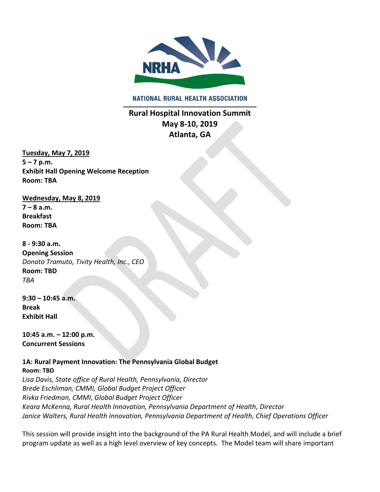

**NATIONAL RURAL HEALTH ASSOCIATION** 

**Rural Hospital Innovation Summit May 8-10, 2019 Atlanta, GA**

**Tuesday, May 7, 2019**  $5 - 7$  p.m. **Exhibit Hall Opening Welcome Reception Room: TBA**

**Wednesday, May 8, 2019 7 – 8 a.m. Breakfast Room: TBA 8 - 9:30 a.m. Opening Session** 

*Donato Tramuto, Tivity Health, Inc., CEO*  **Room: TBD**  *TBA*

**9:30 – 10:45 a.m. Break Exhibit Hall**

**10:45 a.m. – 12:00 p.m. Concurrent Sessions**

**1A: Rural Payment Innovation: The Pennsylvania Global Budget Room: TBD** 

*Lisa Davis, State office of Rural Health, Pennsylvania, Director Brede Eschliman, CMMI, Global Budget Project Officer Rivka Friedman, CMMI, Global Budget Project Officer Keara McKenna, Rural Health Innovation, Pennsylvania Department of Health, Director Janice Walters, Rural Health Innovation, Pennsylvania Department of Health, Chief Operations Officer*

This session will provide insight into the background of the PA Rural Health Model, and will include a brief program update as well as a high level overview of key concepts. The Model team will share important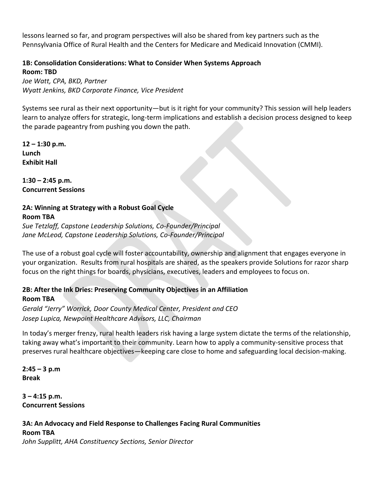lessons learned so far, and program perspectives will also be shared from key partners such as the Pennsylvania Office of Rural Health and the Centers for Medicare and Medicaid Innovation (CMMI).

## **1B: Consolidation Considerations: What to Consider When Systems Approach Room: TBD**

*Joe Watt, CPA, BKD, Partner Wyatt Jenkins, BKD Corporate Finance, Vice President*

Systems see rural as their next opportunity—but is it right for your community? This session will help leaders learn to analyze offers for strategic, long-term implications and establish a decision process designed to keep the parade pageantry from pushing you down the path.

**12 – 1:30 p.m. Lunch Exhibit Hall**

**1:30 – 2:45 p.m. Concurrent Sessions**

# **2A: Winning at Strategy with a Robust Goal Cycle Room TBA** *Sue Tetzlaff, Capstone Leadership Solutions, Co-Founder/Principal*

*Jane McLeod, Capstone Leadership Solutions, Co-Founder/Principal*

The use of a robust goal cycle will foster accountability, ownership and alignment that engages everyone in your organization. Results from rural hospitals are shared, as the speakers provide Solutions for razor sharp focus on the right things for boards, physicians, executives, leaders and employees to focus on.

# **2B: After the Ink Dries: Preserving Community Objectives in an Affiliation Room TBA**

*Gerald "Jerry" Worrick, Door County Medical Center, President and CEO Josep Lupica, Newpoint Healthcare Advisors, LLC, Chairman*

In today's merger frenzy, rural health leaders risk having a large system dictate the terms of the relationship, taking away what's important to their community. Learn how to apply a community-sensitive process that preserves rural healthcare objectives—keeping care close to home and safeguarding local decision-making.

**2:45 – 3 p.m Break**

**3 – 4:15 p.m. Concurrent Sessions**

# **3A: An Advocacy and Field Response to Challenges Facing Rural Communities Room TBA**

*John Supplitt, AHA Constituency Sections, Senior Director*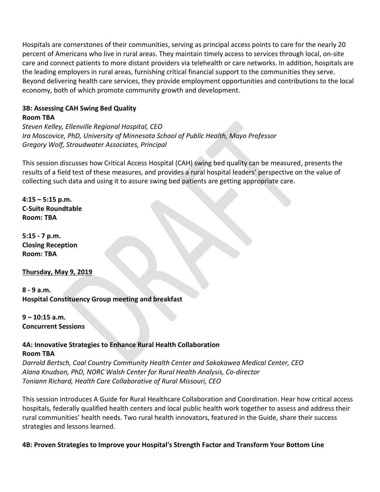Hospitals are cornerstones of their communities, serving as principal access points to care for the nearly 20 percent of Americans who live in rural areas. They maintain timely access to services through local, on-site care and connect patients to more distant providers via telehealth or care networks. In addition, hospitals are the leading employers in rural areas, furnishing critical financial support to the communities they serve. Beyond delivering health care services, they provide employment opportunities and contributions to the local economy, both of which promote community growth and development.

#### **3B: Assessing CAH Swing Bed Quality Room TBA**

*Steven Kelley, Ellenville Regional Hospital, CEO Ira Moscovice, PhD, University of Minnesota School of Public Health, Mayo Professor Gregory Wolf, Stroudwater Associates, Principal*

This session discusses how Critical Access Hospital (CAH) swing bed quality can be measured, presents the results of a field test of these measures, and provides a rural hospital leaders' perspective on the value of collecting such data and using it to assure swing bed patients are getting appropriate care.

**4:15 – 5:15 p.m. C-Suite Roundtable Room: TBA**

**5:15 - 7 p.m. Closing Reception Room: TBA**

**Thursday, May 9, 2019**

**8 - 9 a.m. Hospital Constituency Group meeting and breakfast**

**9 – 10:15 a.m. Concurrent Sessions**

#### **4A: Innovative Strategies to Enhance Rural Health Collaboration Room TBA**

*Darrold Bertsch, Coal Country Community Health Center and Sakakawea Medical Center, CEO Alana Knudson, PhD, NORC Walsh Center for Rural Health Analysis, Co-director Toniann Richard, Health Care Collaborative of Rural Missouri, CEO*

This session introduces A Guide for Rural Healthcare Collaboration and Coordination. Hear how critical access hospitals, federally qualified health centers and local public health work together to assess and address their rural communities' health needs. Two rural health innovators, featured in the Guide, share their success strategies and lessons learned.

**4B: Proven Strategies to Improve your Hospital's Strength Factor and Transform Your Bottom Line**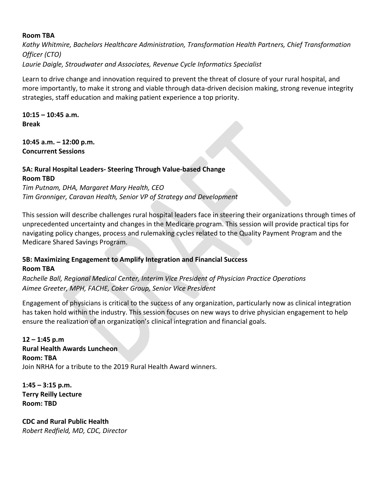#### **Room TBA**

*Kathy Whitmire, Bachelors Healthcare Administration, Transformation Health Partners, Chief Transformation Officer (CTO) Laurie Daigle, Stroudwater and Associates, Revenue Cycle Informatics Specialist*

Learn to drive change and innovation required to prevent the threat of closure of your rural hospital, and more importantly, to make it strong and viable through data-driven decision making, strong revenue integrity strategies, staff education and making patient experience a top priority.

**10:15 – 10:45 a.m. Break**

**10:45 a.m. – 12:00 p.m. Concurrent Sessions** 

# **5A: Rural Hospital Leaders- Steering Through Value-based Change Room TBD**

*Tim Putnam, DHA, Margaret Mary Health, CEO Tim Gronniger, Caravan Health, Senior VP of Strategy and Development*

This session will describe challenges rural hospital leaders face in steering their organizations through times of unprecedented uncertainty and changes in the Medicare program. This session will provide practical tips for navigating policy changes, process and rulemaking cycles related to the Quality Payment Program and the Medicare Shared Savings Program.

#### **5B: Maximizing Engagement to Amplify Integration and Financial Success Room TBA**

*Rachelle Ball, Regional Medical Center, Interim Vice President of Physician Practice Operations Aimee Greeter, MPH, FACHE, Coker Group, Senior Vice President*

Engagement of physicians is critical to the success of any organization, particularly now as clinical integration has taken hold within the industry. This session focuses on new ways to drive physician engagement to help ensure the realization of an organization's clinical integration and financial goals.

**12 – 1:45 p.m Rural Health Awards Luncheon Room: TBA** Join NRHA for a tribute to the 2019 Rural Health Award winners.

**1:45 – 3:15 p.m. Terry Reilly Lecture Room: TBD**

**CDC and Rural Public Health** *Robert Redfield, MD, CDC, Director*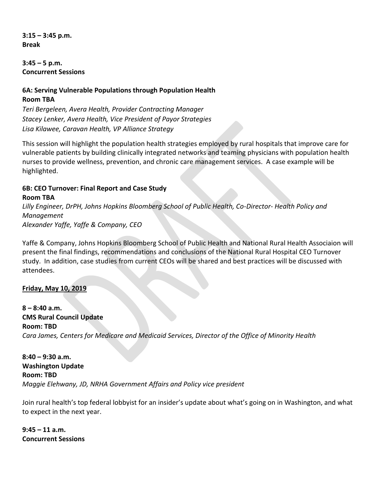**3:15 – 3:45 p.m. Break**

**3:45 – 5 p.m. Concurrent Sessions**

# **6A: Serving Vulnerable Populations through Population Health Room TBA**

*Teri Bergeleen, Avera Health, Provider Contracting Manager Stacey Lenker, Avera Health, Vice President of Payor Strategies Lisa Kilawee, Caravan Health, VP Alliance Strategy*

This session will highlight the population health strategies employed by rural hospitals that improve care for vulnerable patients by building clinically integrated networks and teaming physicians with population health nurses to provide wellness, prevention, and chronic care management services. A case example will be highlighted.

#### **6B: CEO Turnover: Final Report and Case Study Room TBA**

*Lilly Engineer, DrPH, Johns Hopkins Bloomberg School of Public Health, Co-Director- Health Policy and Management Alexander Yaffe, Yaffe & Company, CEO*

Yaffe & Company, Johns Hopkins Bloomberg School of Public Health and National Rural Health Associaion will present the final findings, recommendations and conclusions of the National Rural Hospital CEO Turnover study. In addition, case studies from current CEOs will be shared and best practices will be discussed with attendees.

## **Friday, May 10, 2019**

**8 – 8:40 a.m. CMS Rural Council Update Room: TBD** *Cara James, Centers for Medicare and Medicaid Services, Director of the Office of Minority Health* 

**8:40 – 9:30 a.m. Washington Update Room: TBD** *Maggie Elehwany, JD, NRHA Government Affairs and Policy vice president*

Join rural health's top federal lobbyist for an insider's update about what's going on in Washington, and what to expect in the next year.

**9:45 – 11 a.m. Concurrent Sessions**